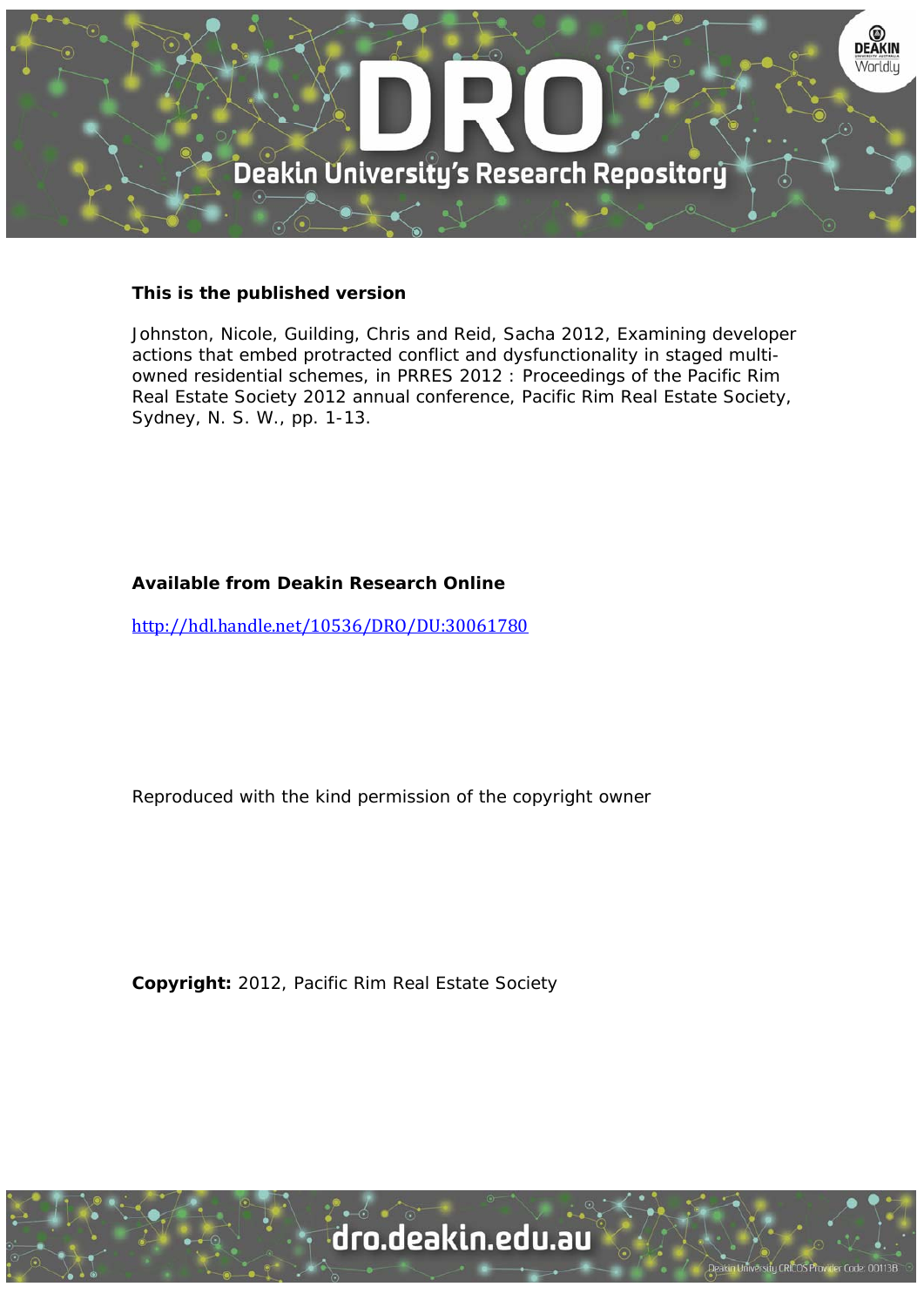

# **This is the published version**

Johnston, Nicole, Guilding, Chris and Reid, Sacha 2012, Examining developer actions that embed protracted conflict and dysfunctionality in staged multiowned residential schemes, in PRRES 2012 : Proceedings of the Pacific Rim Real Estate Society 2012 annual conference, Pacific Rim Real Estate Society, Sydney, N. S. W., pp. 1-13.

# **Available from Deakin Research Online**

http://hdl.handle.net/10536/DRO/DU:30061780

Reproduced with the kind permission of the copyright owner

**Copyright:** 2012, Pacific Rim Real Estate Society

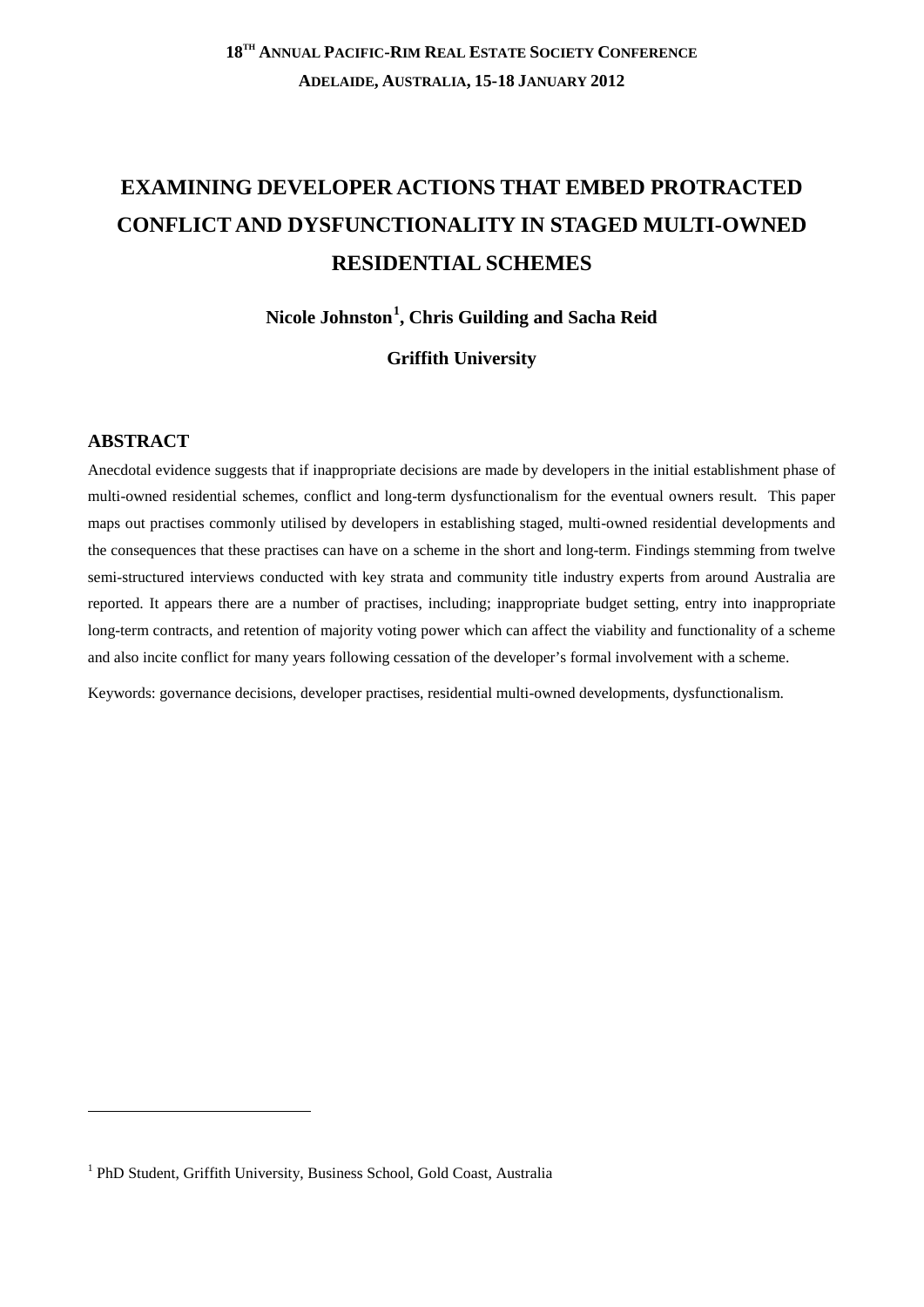# **EXAMINING DEVELOPER ACTIONS THAT EMBED PROTRACTED CONFLICT AND DYSFUNCTIONALITY IN STAGED MULTI-OWNED RESIDENTIAL SCHEMES**

**Nicole Johnston[1](#page-1-0) , Chris Guilding and Sacha Reid**

# **Griffith University**

# **ABSTRACT**

-

Anecdotal evidence suggests that if inappropriate decisions are made by developers in the initial establishment phase of multi-owned residential schemes, conflict and long-term dysfunctionalism for the eventual owners result. This paper maps out practises commonly utilised by developers in establishing staged, multi-owned residential developments and the consequences that these practises can have on a scheme in the short and long-term. Findings stemming from twelve semi-structured interviews conducted with key strata and community title industry experts from around Australia are reported. It appears there are a number of practises, including; inappropriate budget setting, entry into inappropriate long-term contracts, and retention of majority voting power which can affect the viability and functionality of a scheme and also incite conflict for many years following cessation of the developer's formal involvement with a scheme.

Keywords: governance decisions, developer practises, residential multi-owned developments, dysfunctionalism.

<span id="page-1-0"></span><sup>&</sup>lt;sup>1</sup> PhD Student, Griffith University, Business School, Gold Coast, Australia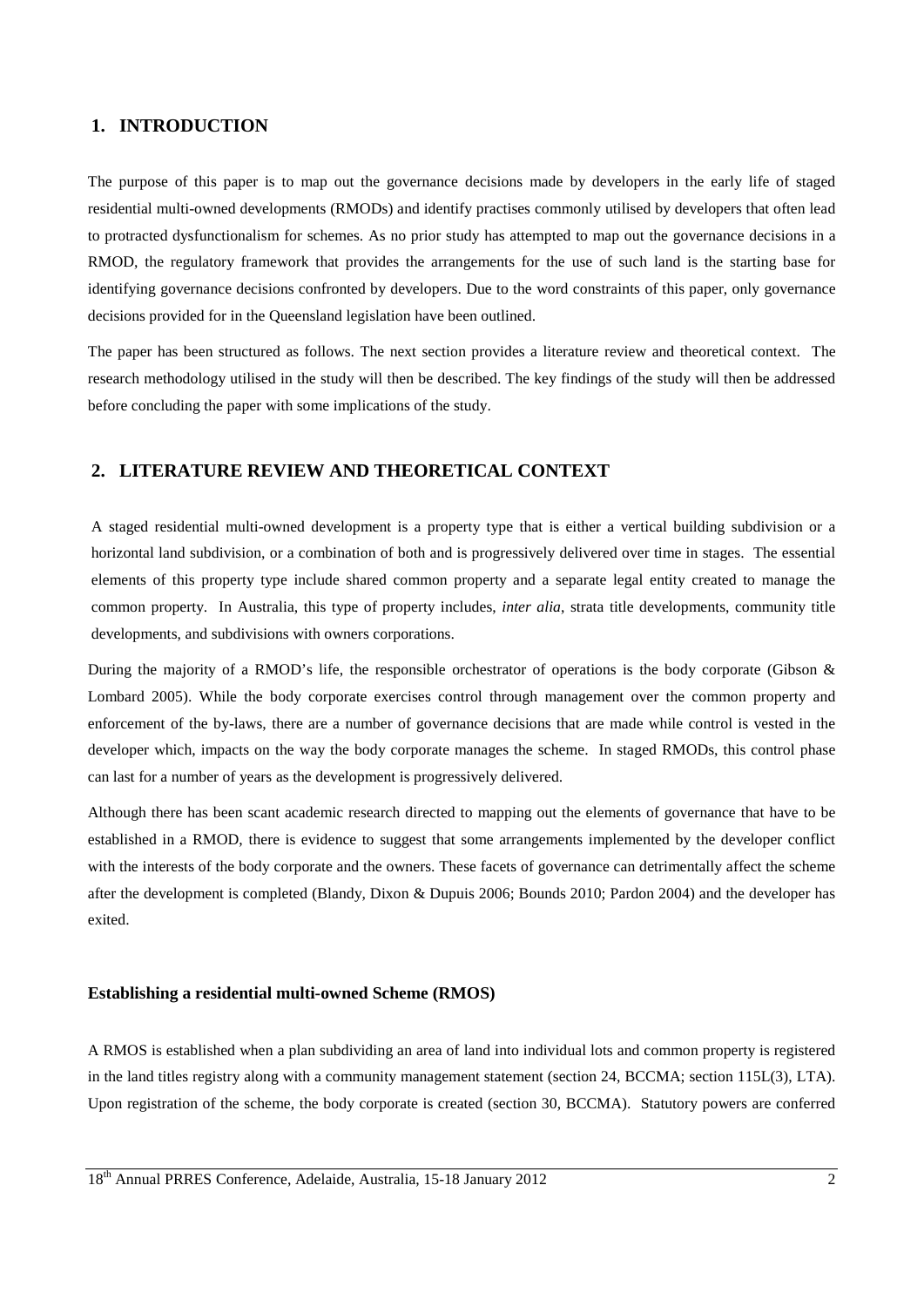### **1. INTRODUCTION**

The purpose of this paper is to map out the governance decisions made by developers in the early life of staged residential multi-owned developments (RMODs) and identify practises commonly utilised by developers that often lead to protracted dysfunctionalism for schemes. As no prior study has attempted to map out the governance decisions in a RMOD, the regulatory framework that provides the arrangements for the use of such land is the starting base for identifying governance decisions confronted by developers. Due to the word constraints of this paper, only governance decisions provided for in the Queensland legislation have been outlined.

The paper has been structured as follows. The next section provides a literature review and theoretical context. The research methodology utilised in the study will then be described. The key findings of the study will then be addressed before concluding the paper with some implications of the study.

## **2. LITERATURE REVIEW AND THEORETICAL CONTEXT**

A staged residential multi-owned development is a property type that is either a vertical building subdivision or a horizontal land subdivision, or a combination of both and is progressively delivered over time in stages. The essential elements of this property type include shared common property and a separate legal entity created to manage the common property. In Australia, this type of property includes, *inter alia*, strata title developments, community title developments, and subdivisions with owners corporations.

During the majority of a RMOD's life, the responsible orchestrator of operations is the body corporate (Gibson & Lombard 2005). While the body corporate exercises control through management over the common property and enforcement of the by-laws, there are a number of governance decisions that are made while control is vested in the developer which, impacts on the way the body corporate manages the scheme. In staged RMODs, this control phase can last for a number of years as the development is progressively delivered.

Although there has been scant academic research directed to mapping out the elements of governance that have to be established in a RMOD, there is evidence to suggest that some arrangements implemented by the developer conflict with the interests of the body corporate and the owners. These facets of governance can detrimentally affect the scheme after the development is completed (Blandy, Dixon & Dupuis 2006; Bounds 2010; Pardon 2004) and the developer has exited.

### **Establishing a residential multi-owned Scheme (RMOS)**

A RMOS is established when a plan subdividing an area of land into individual lots and common property is registered in the land titles registry along with a community management statement (section 24, BCCMA; section 115L(3), LTA). Upon registration of the scheme, the body corporate is created (section 30, BCCMA). Statutory powers are conferred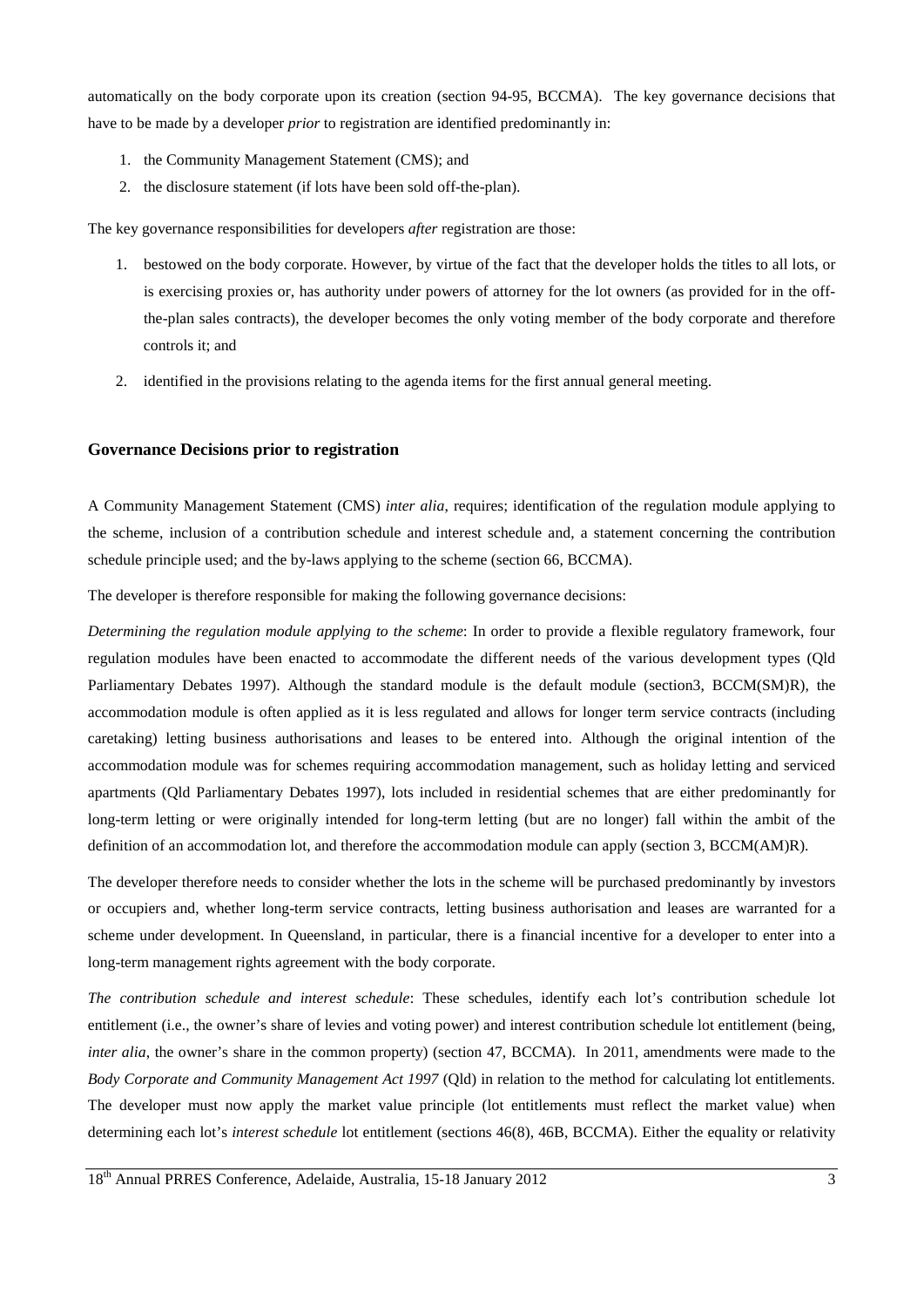automatically on the body corporate upon its creation (section 94-95, BCCMA). The key governance decisions that have to be made by a developer *prior* to registration are identified predominantly in:

- 1. the Community Management Statement (CMS); and
- 2. the disclosure statement (if lots have been sold off-the-plan).

The key governance responsibilities for developers *after* registration are those:

- 1. bestowed on the body corporate. However, by virtue of the fact that the developer holds the titles to all lots, or is exercising proxies or, has authority under powers of attorney for the lot owners (as provided for in the offthe-plan sales contracts), the developer becomes the only voting member of the body corporate and therefore controls it; and
- 2. identified in the provisions relating to the agenda items for the first annual general meeting.

#### **Governance Decisions prior to registration**

A Community Management Statement (CMS) *inter alia*, requires; identification of the regulation module applying to the scheme, inclusion of a contribution schedule and interest schedule and, a statement concerning the contribution schedule principle used; and the by-laws applying to the scheme (section 66, BCCMA).

The developer is therefore responsible for making the following governance decisions:

*Determining the regulation module applying to the scheme*: In order to provide a flexible regulatory framework, four regulation modules have been enacted to accommodate the different needs of the various development types (Qld Parliamentary Debates 1997). Although the standard module is the default module (section3, BCCM(SM)R), the accommodation module is often applied as it is less regulated and allows for longer term service contracts (including caretaking) letting business authorisations and leases to be entered into. Although the original intention of the accommodation module was for schemes requiring accommodation management, such as holiday letting and serviced apartments (Qld Parliamentary Debates 1997), lots included in residential schemes that are either predominantly for long-term letting or were originally intended for long-term letting (but are no longer) fall within the ambit of the definition of an accommodation lot, and therefore the accommodation module can apply (section 3, BCCM(AM)R).

The developer therefore needs to consider whether the lots in the scheme will be purchased predominantly by investors or occupiers and, whether long-term service contracts, letting business authorisation and leases are warranted for a scheme under development. In Queensland, in particular, there is a financial incentive for a developer to enter into a long-term management rights agreement with the body corporate.

*The contribution schedule and interest schedule*: These schedules, identify each lot's contribution schedule lot entitlement (i.e., the owner's share of levies and voting power) and interest contribution schedule lot entitlement (being, *inter alia*, the owner's share in the common property) (section 47, BCCMA). In 2011, amendments were made to the *Body Corporate and Community Management Act 1997* (Qld) in relation to the method for calculating lot entitlements. The developer must now apply the market value principle (lot entitlements must reflect the market value) when determining each lot's *interest schedule* lot entitlement (sections 46(8), 46B, BCCMA). Either the equality or relativity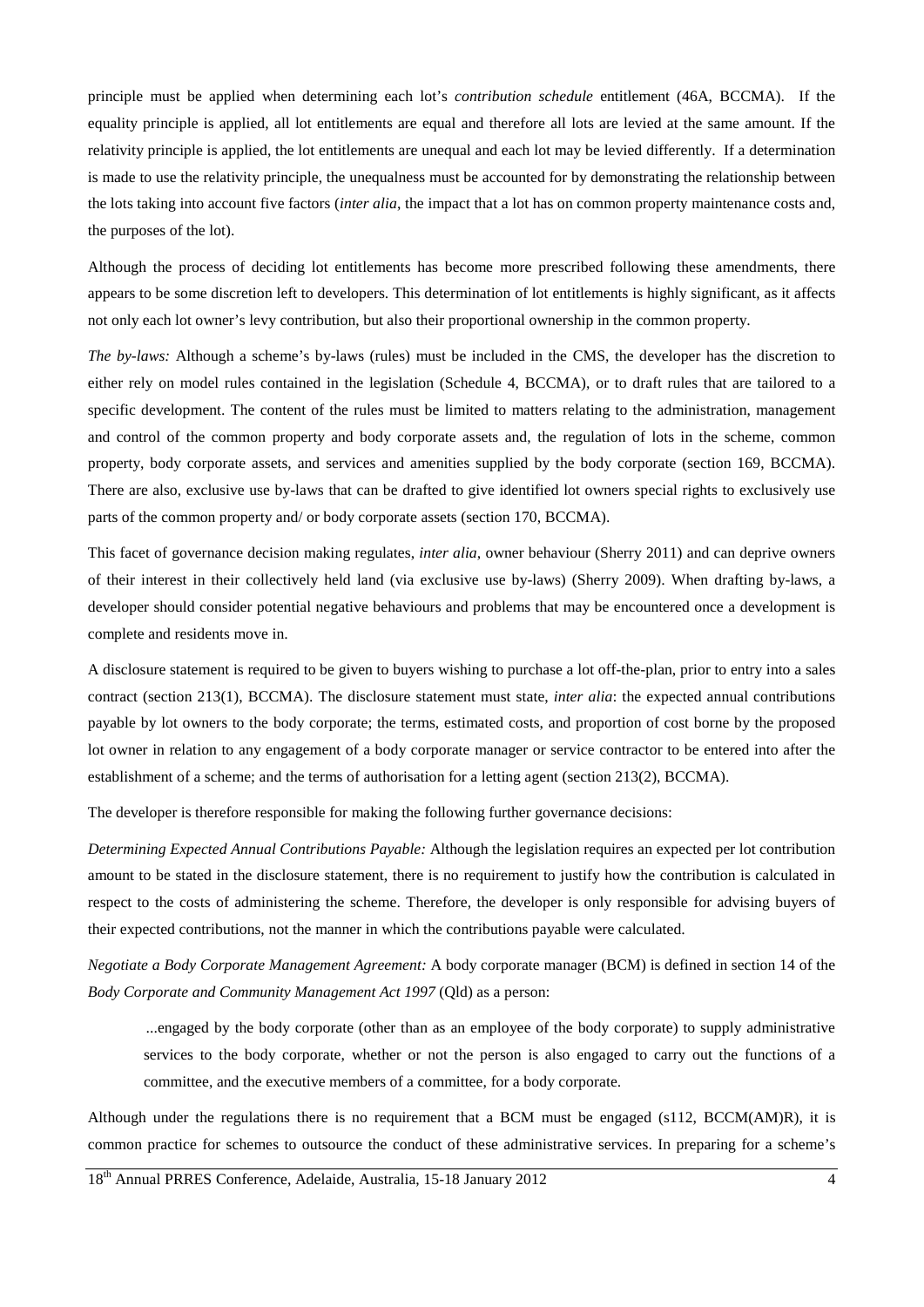principle must be applied when determining each lot's *contribution schedule* entitlement (46A, BCCMA). If the equality principle is applied, all lot entitlements are equal and therefore all lots are levied at the same amount. If the relativity principle is applied, the lot entitlements are unequal and each lot may be levied differently. If a determination is made to use the relativity principle, the unequalness must be accounted for by demonstrating the relationship between the lots taking into account five factors (*inter alia*, the impact that a lot has on common property maintenance costs and, the purposes of the lot).

Although the process of deciding lot entitlements has become more prescribed following these amendments, there appears to be some discretion left to developers. This determination of lot entitlements is highly significant, as it affects not only each lot owner's levy contribution, but also their proportional ownership in the common property.

*The by-laws:* Although a scheme's by-laws (rules) must be included in the CMS, the developer has the discretion to either rely on model rules contained in the legislation (Schedule 4, BCCMA), or to draft rules that are tailored to a specific development. The content of the rules must be limited to matters relating to the administration, management and control of the common property and body corporate assets and, the regulation of lots in the scheme, common property, body corporate assets, and services and amenities supplied by the body corporate (section 169, BCCMA). There are also, exclusive use by-laws that can be drafted to give identified lot owners special rights to exclusively use parts of the common property and/ or body corporate assets (section 170, BCCMA).

This facet of governance decision making regulates, *inter alia*, owner behaviour (Sherry 2011) and can deprive owners of their interest in their collectively held land (via exclusive use by-laws) (Sherry 2009). When drafting by-laws, a developer should consider potential negative behaviours and problems that may be encountered once a development is complete and residents move in.

A disclosure statement is required to be given to buyers wishing to purchase a lot off-the-plan, prior to entry into a sales contract (section 213(1), BCCMA). The disclosure statement must state, *inter alia*: the expected annual contributions payable by lot owners to the body corporate; the terms, estimated costs, and proportion of cost borne by the proposed lot owner in relation to any engagement of a body corporate manager or service contractor to be entered into after the establishment of a scheme; and the terms of authorisation for a letting agent (section 213(2), BCCMA).

The developer is therefore responsible for making the following further governance decisions:

*Determining Expected Annual Contributions Payable:* Although the legislation requires an expected per lot contribution amount to be stated in the disclosure statement, there is no requirement to justify how the contribution is calculated in respect to the costs of administering the scheme. Therefore, the developer is only responsible for advising buyers of their expected contributions, not the manner in which the contributions payable were calculated.

*Negotiate a Body Corporate Management Agreement:* A body corporate manager (BCM) is defined in section 14 of the *Body Corporate and Community Management Act 1997* (Qld) as a person:

...engaged by the body corporate (other than as an employee of the body corporate) to supply administrative services to the body corporate, whether or not the person is also engaged to carry out the functions of a committee, and the executive members of a committee, for a body corporate.

Although under the regulations there is no requirement that a BCM must be engaged (s112, BCCM(AM)R), it is common practice for schemes to outsource the conduct of these administrative services. In preparing for a scheme's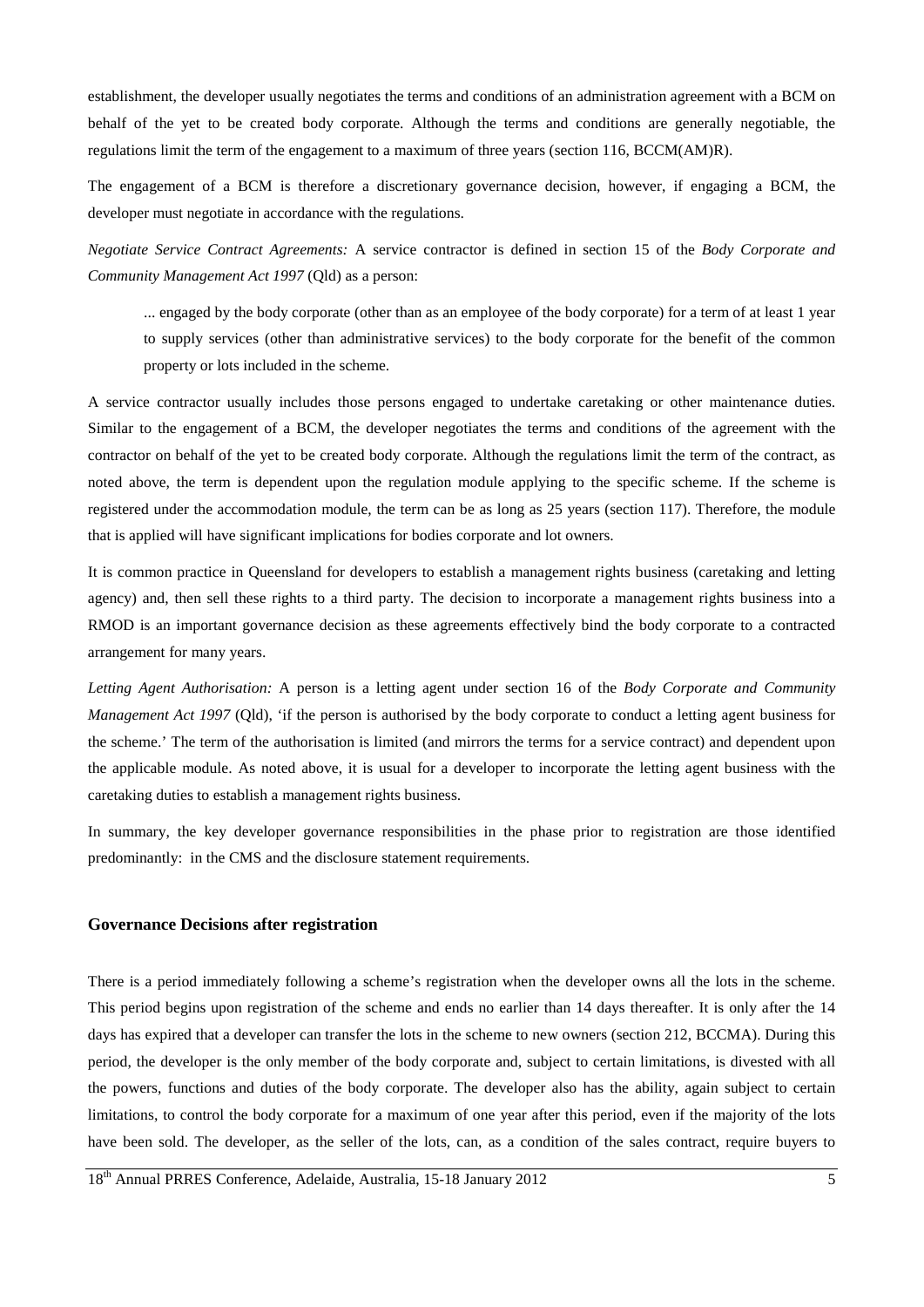establishment, the developer usually negotiates the terms and conditions of an administration agreement with a BCM on behalf of the yet to be created body corporate. Although the terms and conditions are generally negotiable, the regulations limit the term of the engagement to a maximum of three years (section 116, BCCM(AM)R).

The engagement of a BCM is therefore a discretionary governance decision, however, if engaging a BCM, the developer must negotiate in accordance with the regulations.

*Negotiate Service Contract Agreements:* A service contractor is defined in section 15 of the *Body Corporate and Community Management Act 1997* (Qld) as a person:

... engaged by the body corporate (other than as an employee of the body corporate) for a term of at least 1 year to supply services (other than administrative services) to the body corporate for the benefit of the common property or lots included in the scheme.

A service contractor usually includes those persons engaged to undertake caretaking or other maintenance duties. Similar to the engagement of a BCM, the developer negotiates the terms and conditions of the agreement with the contractor on behalf of the yet to be created body corporate. Although the regulations limit the term of the contract, as noted above, the term is dependent upon the regulation module applying to the specific scheme. If the scheme is registered under the accommodation module, the term can be as long as 25 years (section 117). Therefore, the module that is applied will have significant implications for bodies corporate and lot owners.

It is common practice in Queensland for developers to establish a management rights business (caretaking and letting agency) and, then sell these rights to a third party. The decision to incorporate a management rights business into a RMOD is an important governance decision as these agreements effectively bind the body corporate to a contracted arrangement for many years.

*Letting Agent Authorisation:* A person is a letting agent under section 16 of the *Body Corporate and Community Management Act 1997* (Qld), 'if the person is authorised by the body corporate to conduct a letting agent business for the scheme.' The term of the authorisation is limited (and mirrors the terms for a service contract) and dependent upon the applicable module. As noted above, it is usual for a developer to incorporate the letting agent business with the caretaking duties to establish a management rights business.

In summary, the key developer governance responsibilities in the phase prior to registration are those identified predominantly: in the CMS and the disclosure statement requirements.

### **Governance Decisions after registration**

There is a period immediately following a scheme's registration when the developer owns all the lots in the scheme. This period begins upon registration of the scheme and ends no earlier than 14 days thereafter. It is only after the 14 days has expired that a developer can transfer the lots in the scheme to new owners (section 212, BCCMA). During this period, the developer is the only member of the body corporate and, subject to certain limitations, is divested with all the powers, functions and duties of the body corporate. The developer also has the ability, again subject to certain limitations, to control the body corporate for a maximum of one year after this period, even if the majority of the lots have been sold. The developer, as the seller of the lots, can, as a condition of the sales contract, require buyers to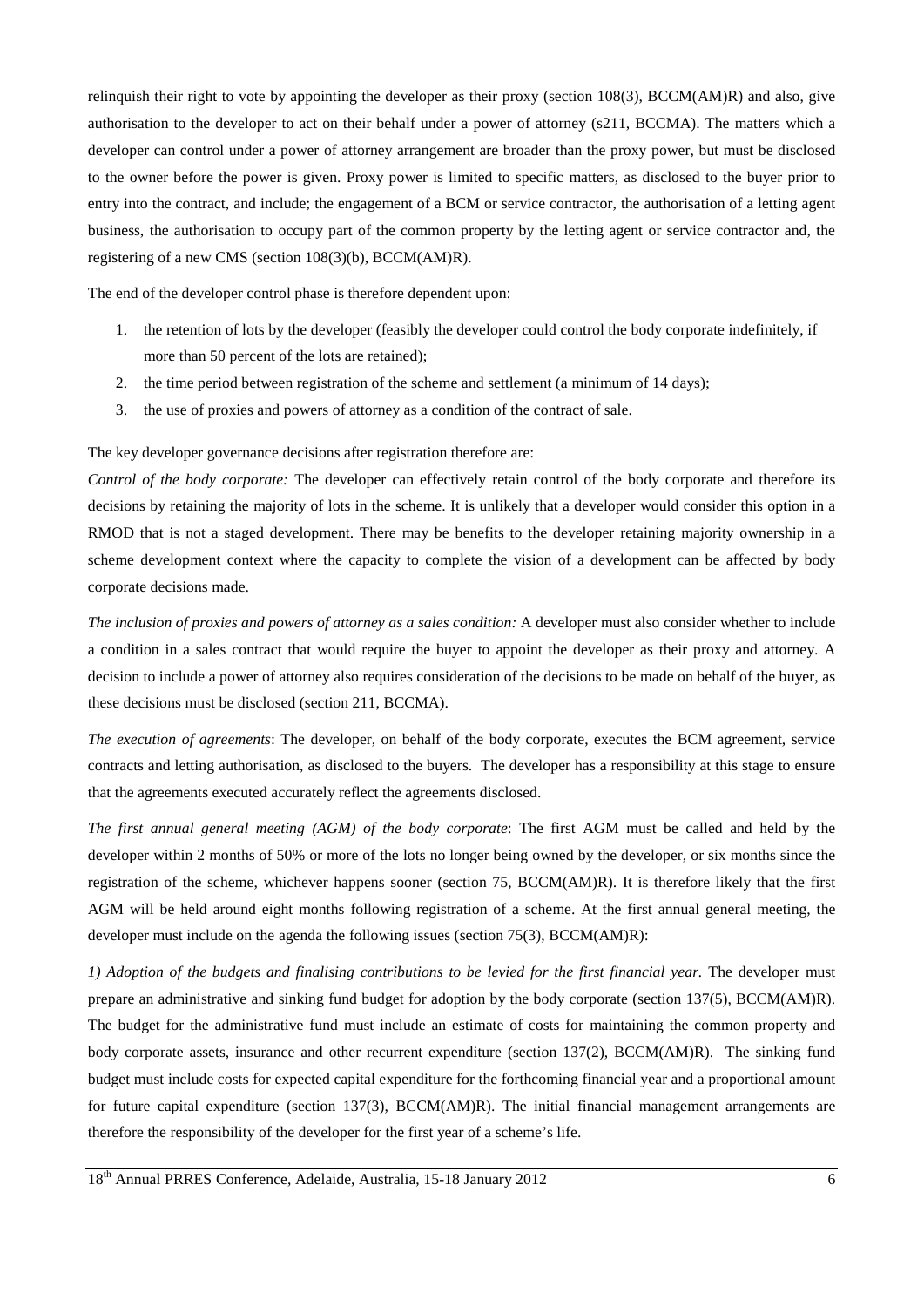relinquish their right to vote by appointing the developer as their proxy (section 108(3), BCCM(AM)R) and also, give authorisation to the developer to act on their behalf under a power of attorney (s211, BCCMA). The matters which a developer can control under a power of attorney arrangement are broader than the proxy power, but must be disclosed to the owner before the power is given. Proxy power is limited to specific matters, as disclosed to the buyer prior to entry into the contract, and include; the engagement of a BCM or service contractor, the authorisation of a letting agent business, the authorisation to occupy part of the common property by the letting agent or service contractor and, the registering of a new CMS (section 108(3)(b), BCCM(AM)R).

The end of the developer control phase is therefore dependent upon:

- 1. the retention of lots by the developer (feasibly the developer could control the body corporate indefinitely, if more than 50 percent of the lots are retained);
- 2. the time period between registration of the scheme and settlement (a minimum of 14 days);
- 3. the use of proxies and powers of attorney as a condition of the contract of sale.

The key developer governance decisions after registration therefore are:

*Control of the body corporate:* The developer can effectively retain control of the body corporate and therefore its decisions by retaining the majority of lots in the scheme. It is unlikely that a developer would consider this option in a RMOD that is not a staged development. There may be benefits to the developer retaining majority ownership in a scheme development context where the capacity to complete the vision of a development can be affected by body corporate decisions made.

*The inclusion of proxies and powers of attorney as a sales condition:* A developer must also consider whether to include a condition in a sales contract that would require the buyer to appoint the developer as their proxy and attorney. A decision to include a power of attorney also requires consideration of the decisions to be made on behalf of the buyer, as these decisions must be disclosed (section 211, BCCMA).

*The execution of agreements*: The developer, on behalf of the body corporate, executes the BCM agreement, service contracts and letting authorisation, as disclosed to the buyers. The developer has a responsibility at this stage to ensure that the agreements executed accurately reflect the agreements disclosed.

*The first annual general meeting (AGM) of the body corporate*: The first AGM must be called and held by the developer within 2 months of 50% or more of the lots no longer being owned by the developer, or six months since the registration of the scheme, whichever happens sooner (section 75, BCCM(AM)R). It is therefore likely that the first AGM will be held around eight months following registration of a scheme. At the first annual general meeting, the developer must include on the agenda the following issues (section  $75(3)$ , BCCM(AM)R):

*1) Adoption of the budgets and finalising contributions to be levied for the first financial year.* The developer must prepare an administrative and sinking fund budget for adoption by the body corporate (section 137(5), BCCM(AM)R). The budget for the administrative fund must include an estimate of costs for maintaining the common property and body corporate assets, insurance and other recurrent expenditure (section 137(2), BCCM(AM)R). The sinking fund budget must include costs for expected capital expenditure for the forthcoming financial year and a proportional amount for future capital expenditure (section 137(3), BCCM(AM)R). The initial financial management arrangements are therefore the responsibility of the developer for the first year of a scheme's life.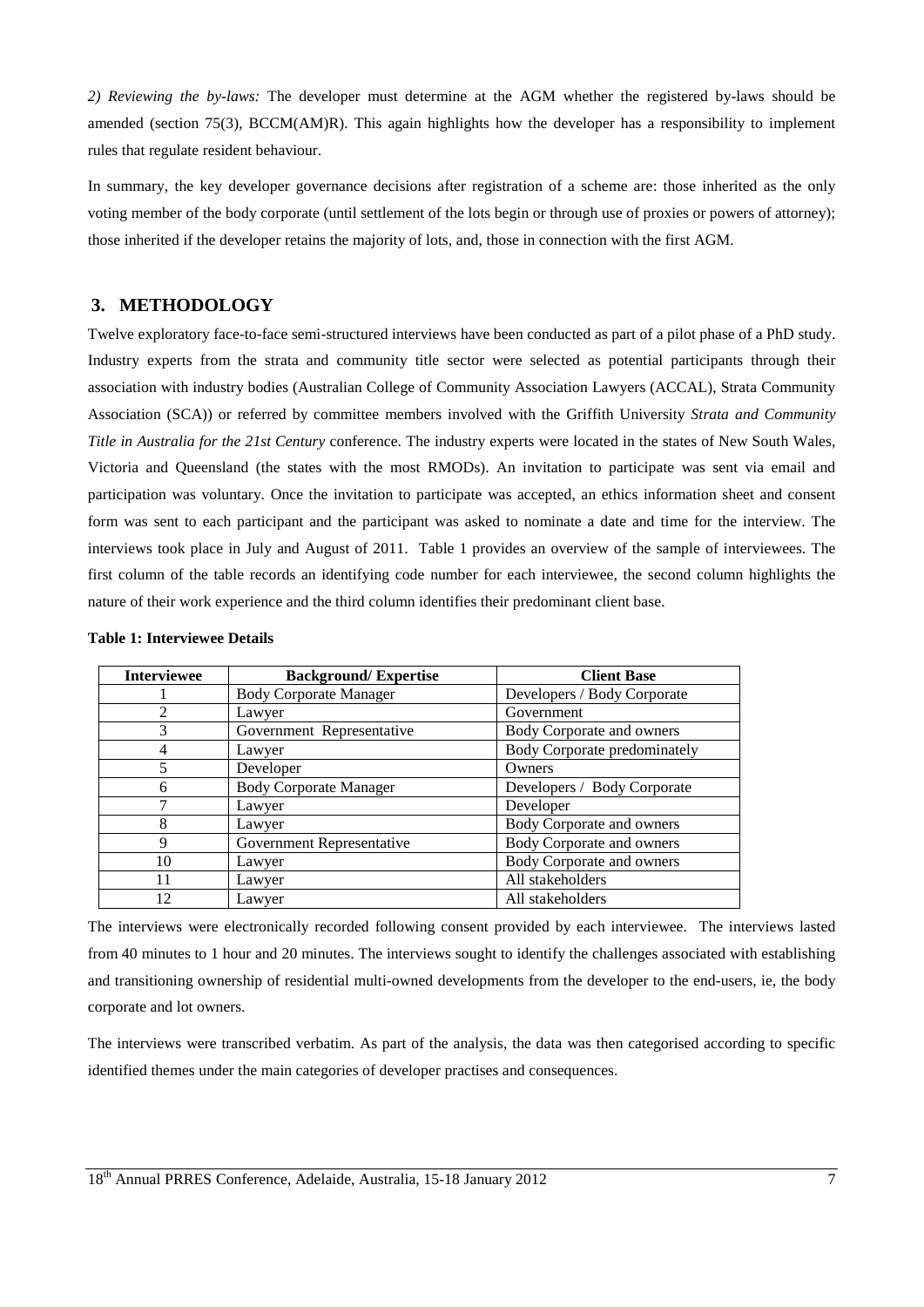*2) Reviewing the by-laws:* The developer must determine at the AGM whether the registered by-laws should be amended (section 75(3), BCCM(AM)R). This again highlights how the developer has a responsibility to implement rules that regulate resident behaviour.

In summary, the key developer governance decisions after registration of a scheme are: those inherited as the only voting member of the body corporate (until settlement of the lots begin or through use of proxies or powers of attorney); those inherited if the developer retains the majority of lots, and, those in connection with the first AGM.

### **3. METHODOLOGY**

Twelve exploratory face-to-face semi-structured interviews have been conducted as part of a pilot phase of a PhD study. Industry experts from the strata and community title sector were selected as potential participants through their association with industry bodies (Australian College of Community Association Lawyers (ACCAL), Strata Community Association (SCA)) or referred by committee members involved with the Griffith University *Strata and Community Title in Australia for the 21st Century* conference. The industry experts were located in the states of New South Wales, Victoria and Queensland (the states with the most RMODs). An invitation to participate was sent via email and participation was voluntary. Once the invitation to participate was accepted, an ethics information sheet and consent form was sent to each participant and the participant was asked to nominate a date and time for the interview. The interviews took place in July and August of 2011. Table 1 provides an overview of the sample of interviewees. The first column of the table records an identifying code number for each interviewee, the second column highlights the nature of their work experience and the third column identifies their predominant client base.

| <b>Interviewee</b> | <b>Background/Expertise</b>   | <b>Client Base</b>           |
|--------------------|-------------------------------|------------------------------|
|                    | <b>Body Corporate Manager</b> | Developers / Body Corporate  |
| $\mathfrak{D}$     | Lawyer                        | Government                   |
| 3                  | Government Representative     | Body Corporate and owners    |
| 4                  | Lawyer                        | Body Corporate predominately |
| 5                  | Developer                     | Owners                       |
| 6                  | <b>Body Corporate Manager</b> | Developers / Body Corporate  |
|                    | Lawyer                        | Developer                    |
| 8                  | Lawyer                        | Body Corporate and owners    |
| 9                  | Government Representative     | Body Corporate and owners    |
| 10                 | Lawyer                        | Body Corporate and owners    |
| 11                 | Lawyer                        | All stakeholders             |
| 12                 | Lawyer                        | All stakeholders             |

#### **Table 1: Interviewee Details**

The interviews were electronically recorded following consent provided by each interviewee. The interviews lasted from 40 minutes to 1 hour and 20 minutes. The interviews sought to identify the challenges associated with establishing and transitioning ownership of residential multi-owned developments from the developer to the end-users, ie, the body corporate and lot owners.

The interviews were transcribed verbatim. As part of the analysis, the data was then categorised according to specific identified themes under the main categories of developer practises and consequences.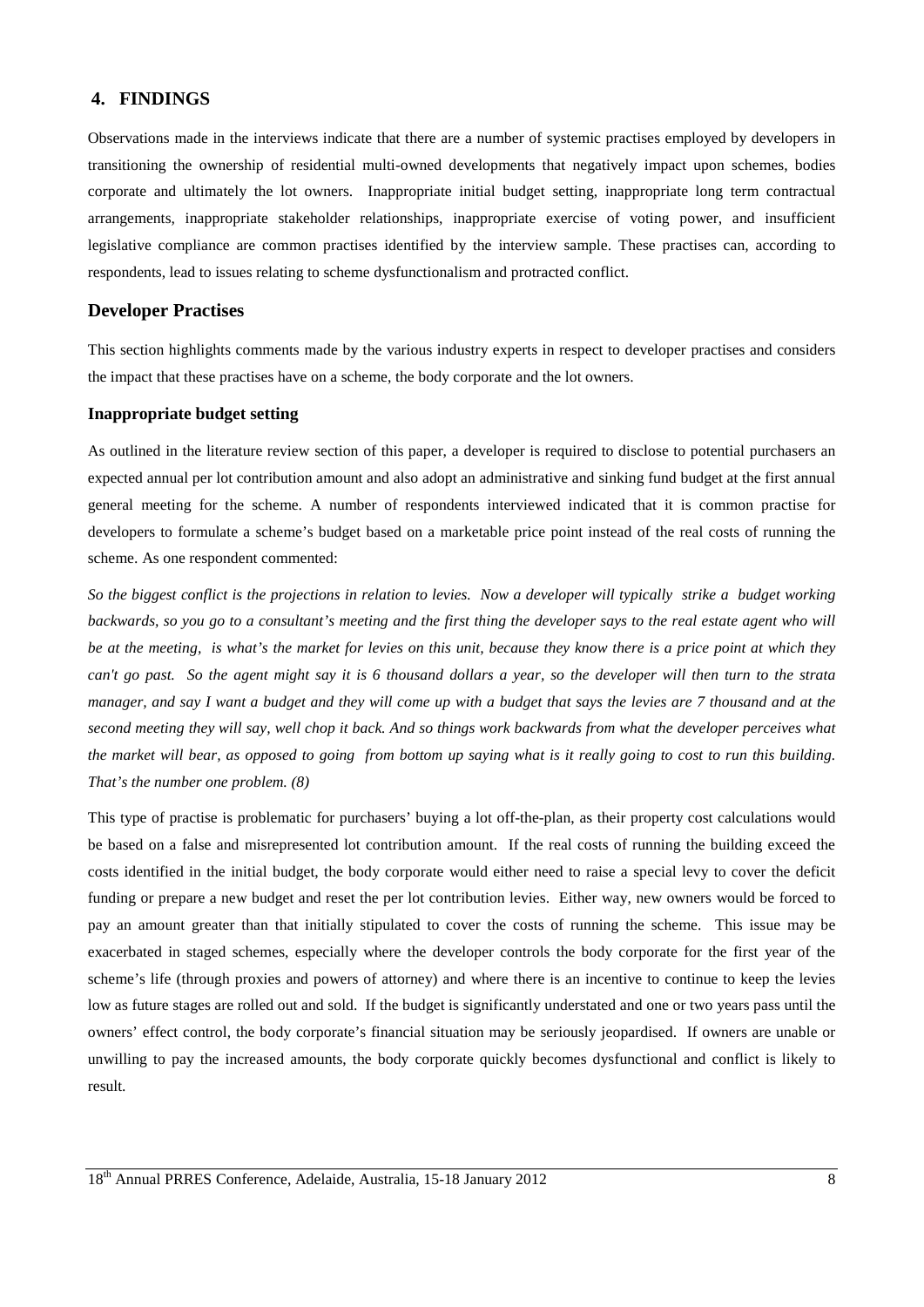# **4. FINDINGS**

Observations made in the interviews indicate that there are a number of systemic practises employed by developers in transitioning the ownership of residential multi-owned developments that negatively impact upon schemes, bodies corporate and ultimately the lot owners. Inappropriate initial budget setting, inappropriate long term contractual arrangements, inappropriate stakeholder relationships, inappropriate exercise of voting power, and insufficient legislative compliance are common practises identified by the interview sample. These practises can, according to respondents, lead to issues relating to scheme dysfunctionalism and protracted conflict.

### **Developer Practises**

This section highlights comments made by the various industry experts in respect to developer practises and considers the impact that these practises have on a scheme, the body corporate and the lot owners.

#### **Inappropriate budget setting**

As outlined in the literature review section of this paper, a developer is required to disclose to potential purchasers an expected annual per lot contribution amount and also adopt an administrative and sinking fund budget at the first annual general meeting for the scheme. A number of respondents interviewed indicated that it is common practise for developers to formulate a scheme's budget based on a marketable price point instead of the real costs of running the scheme. As one respondent commented:

*So the biggest conflict is the projections in relation to levies. Now a developer will typically strike a budget working backwards, so you go to a consultant's meeting and the first thing the developer says to the real estate agent who will be at the meeting, is what's the market for levies on this unit, because they know there is a price point at which they can't go past. So the agent might say it is 6 thousand dollars a year, so the developer will then turn to the strata manager, and say I want a budget and they will come up with a budget that says the levies are 7 thousand and at the second meeting they will say, well chop it back. And so things work backwards from what the developer perceives what the market will bear, as opposed to going from bottom up saying what is it really going to cost to run this building. That's the number one problem. (8)*

This type of practise is problematic for purchasers' buying a lot off-the-plan, as their property cost calculations would be based on a false and misrepresented lot contribution amount. If the real costs of running the building exceed the costs identified in the initial budget, the body corporate would either need to raise a special levy to cover the deficit funding or prepare a new budget and reset the per lot contribution levies. Either way, new owners would be forced to pay an amount greater than that initially stipulated to cover the costs of running the scheme. This issue may be exacerbated in staged schemes, especially where the developer controls the body corporate for the first year of the scheme's life (through proxies and powers of attorney) and where there is an incentive to continue to keep the levies low as future stages are rolled out and sold. If the budget is significantly understated and one or two years pass until the owners' effect control, the body corporate's financial situation may be seriously jeopardised. If owners are unable or unwilling to pay the increased amounts, the body corporate quickly becomes dysfunctional and conflict is likely to result.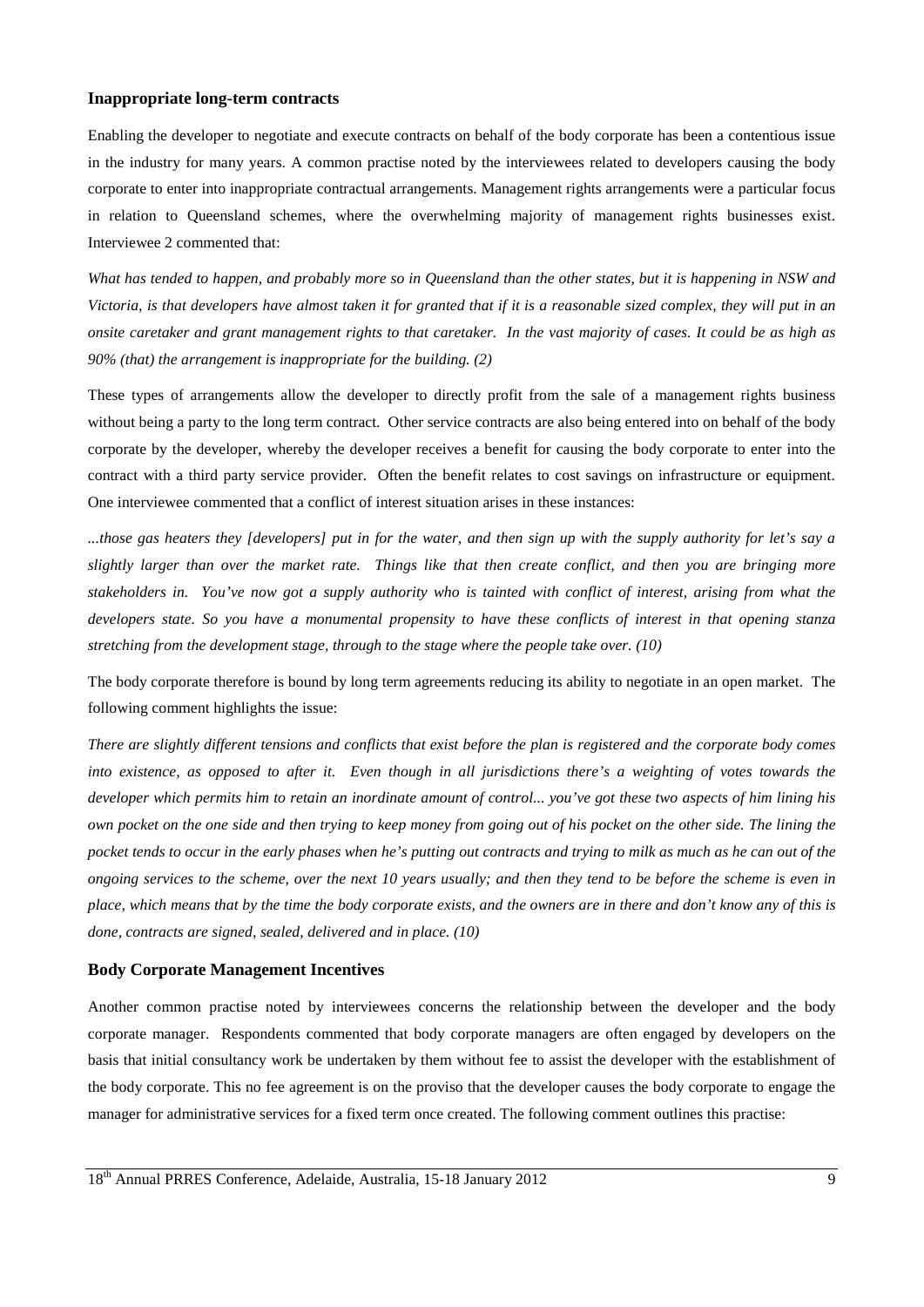### **Inappropriate long-term contracts**

Enabling the developer to negotiate and execute contracts on behalf of the body corporate has been a contentious issue in the industry for many years. A common practise noted by the interviewees related to developers causing the body corporate to enter into inappropriate contractual arrangements. Management rights arrangements were a particular focus in relation to Queensland schemes, where the overwhelming majority of management rights businesses exist. Interviewee 2 commented that:

*What has tended to happen, and probably more so in Queensland than the other states, but it is happening in NSW and Victoria, is that developers have almost taken it for granted that if it is a reasonable sized complex, they will put in an onsite caretaker and grant management rights to that caretaker. In the vast majority of cases. It could be as high as 90% (that) the arrangement is inappropriate for the building. (2)*

These types of arrangements allow the developer to directly profit from the sale of a management rights business without being a party to the long term contract. Other service contracts are also being entered into on behalf of the body corporate by the developer, whereby the developer receives a benefit for causing the body corporate to enter into the contract with a third party service provider. Often the benefit relates to cost savings on infrastructure or equipment. One interviewee commented that a conflict of interest situation arises in these instances:

*...those gas heaters they [developers] put in for the water, and then sign up with the supply authority for let's say a slightly larger than over the market rate. Things like that then create conflict, and then you are bringing more stakeholders in. You've now got a supply authority who is tainted with conflict of interest, arising from what the developers state. So you have a monumental propensity to have these conflicts of interest in that opening stanza stretching from the development stage, through to the stage where the people take over. (10)*

The body corporate therefore is bound by long term agreements reducing its ability to negotiate in an open market. The following comment highlights the issue:

*There are slightly different tensions and conflicts that exist before the plan is registered and the corporate body comes into existence, as opposed to after it. Even though in all jurisdictions there's a weighting of votes towards the developer which permits him to retain an inordinate amount of control... you've got these two aspects of him lining his own pocket on the one side and then trying to keep money from going out of his pocket on the other side. The lining the pocket tends to occur in the early phases when he's putting out contracts and trying to milk as much as he can out of the ongoing services to the scheme, over the next 10 years usually; and then they tend to be before the scheme is even in place, which means that by the time the body corporate exists, and the owners are in there and don't know any of this is done, contracts are signed, sealed, delivered and in place. (10)*

#### **Body Corporate Management Incentives**

Another common practise noted by interviewees concerns the relationship between the developer and the body corporate manager. Respondents commented that body corporate managers are often engaged by developers on the basis that initial consultancy work be undertaken by them without fee to assist the developer with the establishment of the body corporate. This no fee agreement is on the proviso that the developer causes the body corporate to engage the manager for administrative services for a fixed term once created. The following comment outlines this practise: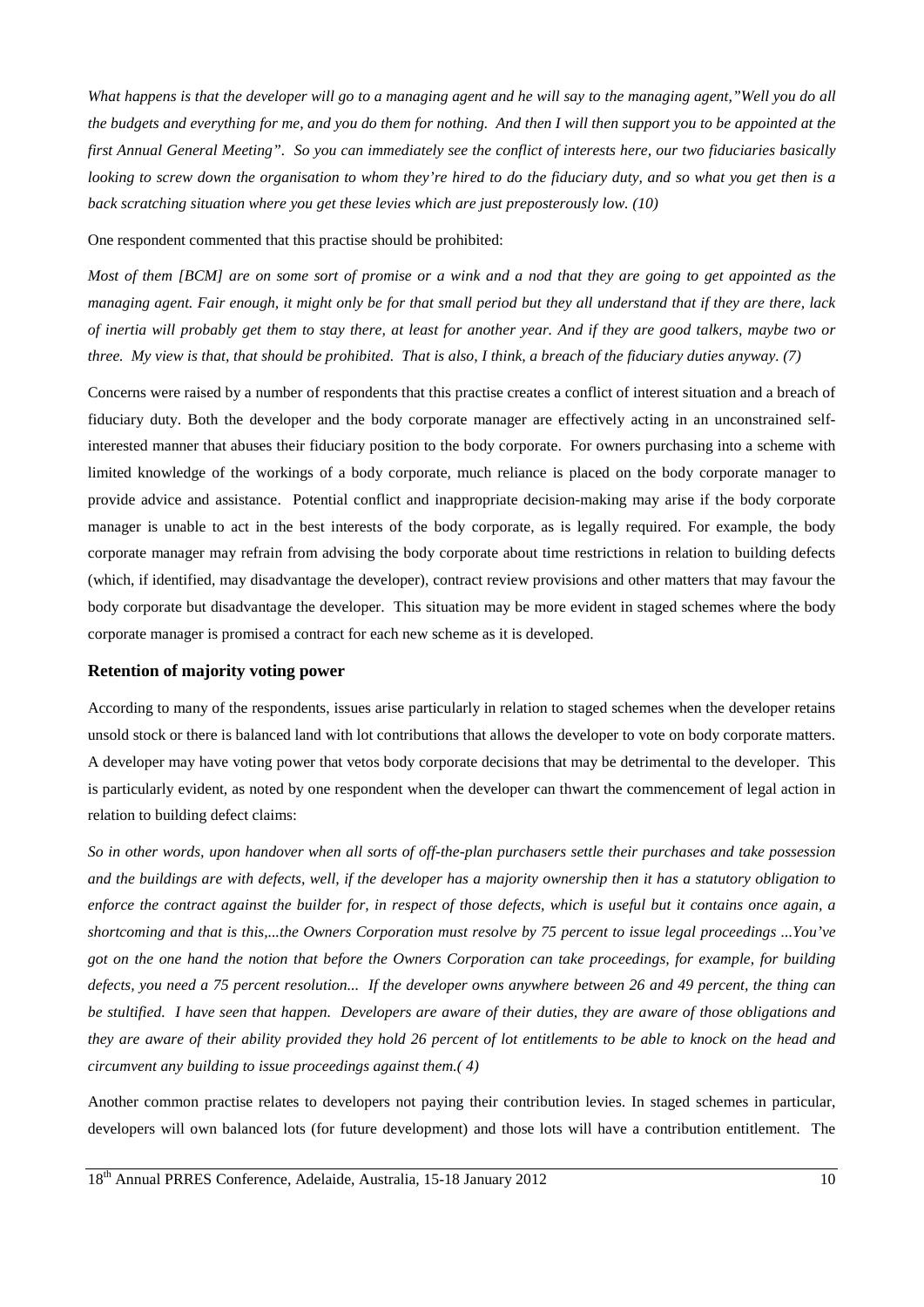*What happens is that the developer will go to a managing agent and he will say to the managing agent,"Well you do all the budgets and everything for me, and you do them for nothing. And then I will then support you to be appointed at the first Annual General Meeting". So you can immediately see the conflict of interests here, our two fiduciaries basically looking to screw down the organisation to whom they're hired to do the fiduciary duty, and so what you get then is a back scratching situation where you get these levies which are just preposterously low. (10)*

One respondent commented that this practise should be prohibited:

*Most of them [BCM] are on some sort of promise or a wink and a nod that they are going to get appointed as the managing agent. Fair enough, it might only be for that small period but they all understand that if they are there, lack of inertia will probably get them to stay there, at least for another year. And if they are good talkers, maybe two or three. My view is that, that should be prohibited. That is also, I think, a breach of the fiduciary duties anyway. (7)*

Concerns were raised by a number of respondents that this practise creates a conflict of interest situation and a breach of fiduciary duty. Both the developer and the body corporate manager are effectively acting in an unconstrained selfinterested manner that abuses their fiduciary position to the body corporate. For owners purchasing into a scheme with limited knowledge of the workings of a body corporate, much reliance is placed on the body corporate manager to provide advice and assistance. Potential conflict and inappropriate decision-making may arise if the body corporate manager is unable to act in the best interests of the body corporate, as is legally required. For example, the body corporate manager may refrain from advising the body corporate about time restrictions in relation to building defects (which, if identified, may disadvantage the developer), contract review provisions and other matters that may favour the body corporate but disadvantage the developer. This situation may be more evident in staged schemes where the body corporate manager is promised a contract for each new scheme as it is developed.

#### **Retention of majority voting power**

According to many of the respondents, issues arise particularly in relation to staged schemes when the developer retains unsold stock or there is balanced land with lot contributions that allows the developer to vote on body corporate matters. A developer may have voting power that vetos body corporate decisions that may be detrimental to the developer. This is particularly evident, as noted by one respondent when the developer can thwart the commencement of legal action in relation to building defect claims:

*So in other words, upon handover when all sorts of off-the-plan purchasers settle their purchases and take possession and the buildings are with defects, well, if the developer has a majority ownership then it has a statutory obligation to enforce the contract against the builder for, in respect of those defects, which is useful but it contains once again, a shortcoming and that is this,...the Owners Corporation must resolve by 75 percent to issue legal proceedings ...You've got on the one hand the notion that before the Owners Corporation can take proceedings, for example, for building defects, you need a 75 percent resolution... If the developer owns anywhere between 26 and 49 percent, the thing can be stultified. I have seen that happen. Developers are aware of their duties, they are aware of those obligations and they are aware of their ability provided they hold 26 percent of lot entitlements to be able to knock on the head and circumvent any building to issue proceedings against them.( 4)*

Another common practise relates to developers not paying their contribution levies. In staged schemes in particular, developers will own balanced lots (for future development) and those lots will have a contribution entitlement. The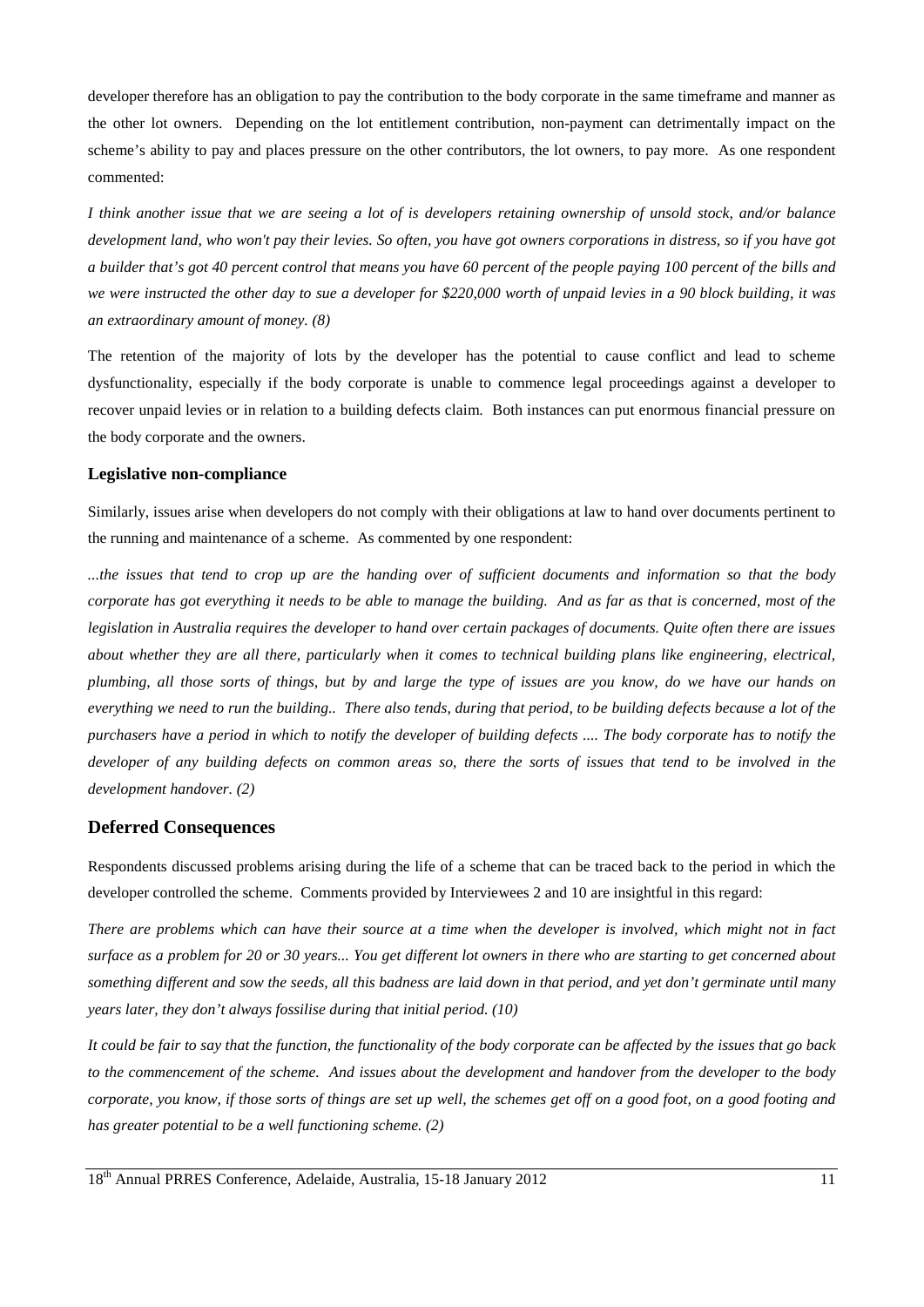developer therefore has an obligation to pay the contribution to the body corporate in the same timeframe and manner as the other lot owners. Depending on the lot entitlement contribution, non-payment can detrimentally impact on the scheme's ability to pay and places pressure on the other contributors, the lot owners, to pay more. As one respondent commented:

*I think another issue that we are seeing a lot of is developers retaining ownership of unsold stock, and/or balance development land, who won't pay their levies. So often, you have got owners corporations in distress, so if you have got a builder that's got 40 percent control that means you have 60 percent of the people paying 100 percent of the bills and we were instructed the other day to sue a developer for \$220,000 worth of unpaid levies in a 90 block building, it was an extraordinary amount of money. (8)*

The retention of the majority of lots by the developer has the potential to cause conflict and lead to scheme dysfunctionality, especially if the body corporate is unable to commence legal proceedings against a developer to recover unpaid levies or in relation to a building defects claim. Both instances can put enormous financial pressure on the body corporate and the owners.

#### **Legislative non-compliance**

Similarly, issues arise when developers do not comply with their obligations at law to hand over documents pertinent to the running and maintenance of a scheme. As commented by one respondent:

*...the issues that tend to crop up are the handing over of sufficient documents and information so that the body corporate has got everything it needs to be able to manage the building. And as far as that is concerned, most of the legislation in Australia requires the developer to hand over certain packages of documents. Quite often there are issues about whether they are all there, particularly when it comes to technical building plans like engineering, electrical, plumbing, all those sorts of things, but by and large the type of issues are you know, do we have our hands on everything we need to run the building.. There also tends, during that period, to be building defects because a lot of the purchasers have a period in which to notify the developer of building defects .... The body corporate has to notify the developer of any building defects on common areas so, there the sorts of issues that tend to be involved in the development handover. (2)*

### **Deferred Consequences**

Respondents discussed problems arising during the life of a scheme that can be traced back to the period in which the developer controlled the scheme. Comments provided by Interviewees 2 and 10 are insightful in this regard:

*There are problems which can have their source at a time when the developer is involved, which might not in fact surface as a problem for 20 or 30 years... You get different lot owners in there who are starting to get concerned about something different and sow the seeds, all this badness are laid down in that period, and yet don't germinate until many years later, they don't always fossilise during that initial period. (10)* 

*It could be fair to say that the function, the functionality of the body corporate can be affected by the issues that go back to the commencement of the scheme. And issues about the development and handover from the developer to the body corporate, you know, if those sorts of things are set up well, the schemes get off on a good foot, on a good footing and has greater potential to be a well functioning scheme. (2)*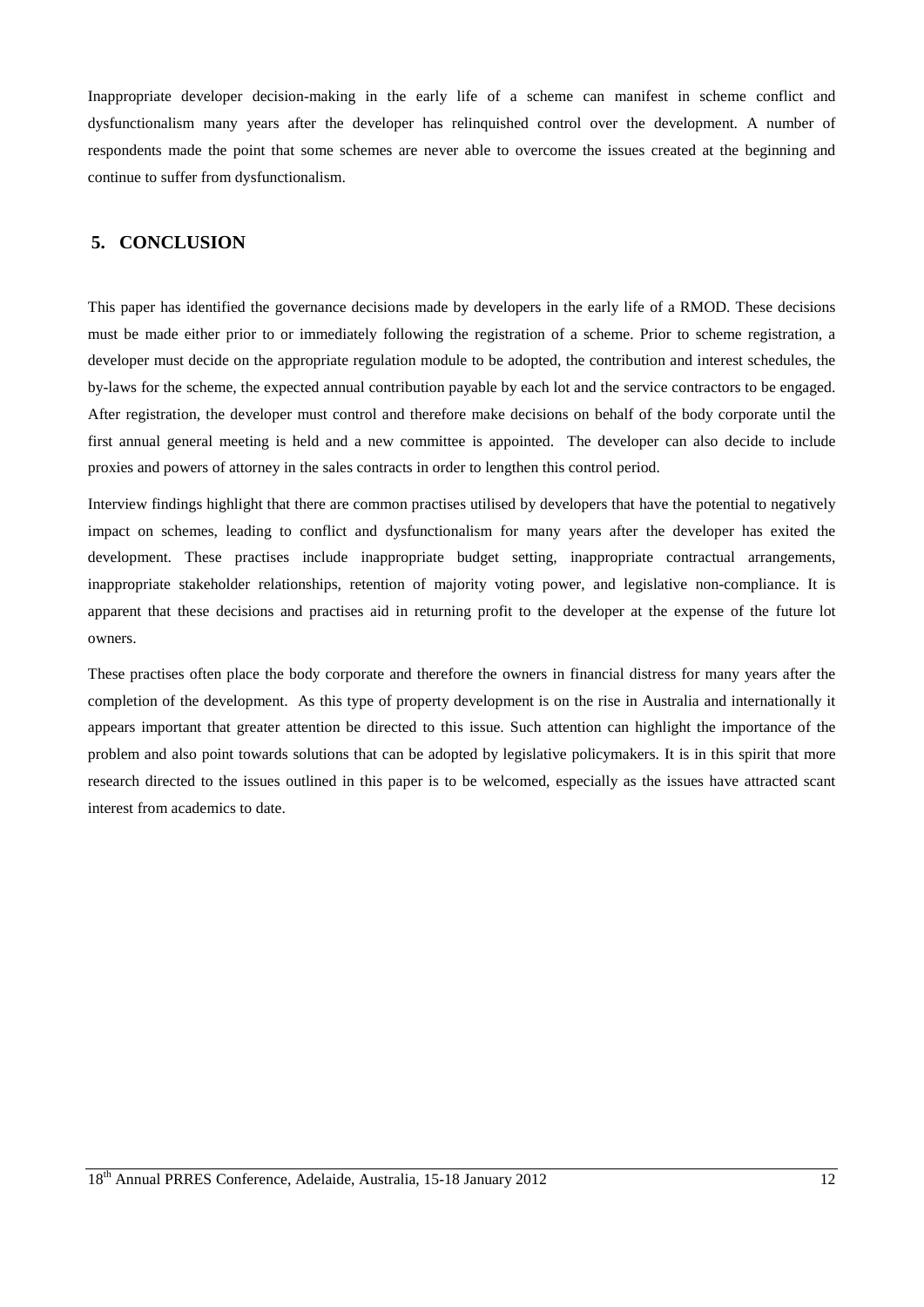Inappropriate developer decision-making in the early life of a scheme can manifest in scheme conflict and dysfunctionalism many years after the developer has relinquished control over the development. A number of respondents made the point that some schemes are never able to overcome the issues created at the beginning and continue to suffer from dysfunctionalism.

### **5. CONCLUSION**

This paper has identified the governance decisions made by developers in the early life of a RMOD. These decisions must be made either prior to or immediately following the registration of a scheme. Prior to scheme registration, a developer must decide on the appropriate regulation module to be adopted, the contribution and interest schedules, the by-laws for the scheme, the expected annual contribution payable by each lot and the service contractors to be engaged. After registration, the developer must control and therefore make decisions on behalf of the body corporate until the first annual general meeting is held and a new committee is appointed. The developer can also decide to include proxies and powers of attorney in the sales contracts in order to lengthen this control period.

Interview findings highlight that there are common practises utilised by developers that have the potential to negatively impact on schemes, leading to conflict and dysfunctionalism for many years after the developer has exited the development. These practises include inappropriate budget setting, inappropriate contractual arrangements, inappropriate stakeholder relationships, retention of majority voting power, and legislative non-compliance. It is apparent that these decisions and practises aid in returning profit to the developer at the expense of the future lot owners.

These practises often place the body corporate and therefore the owners in financial distress for many years after the completion of the development. As this type of property development is on the rise in Australia and internationally it appears important that greater attention be directed to this issue. Such attention can highlight the importance of the problem and also point towards solutions that can be adopted by legislative policymakers. It is in this spirit that more research directed to the issues outlined in this paper is to be welcomed, especially as the issues have attracted scant interest from academics to date.